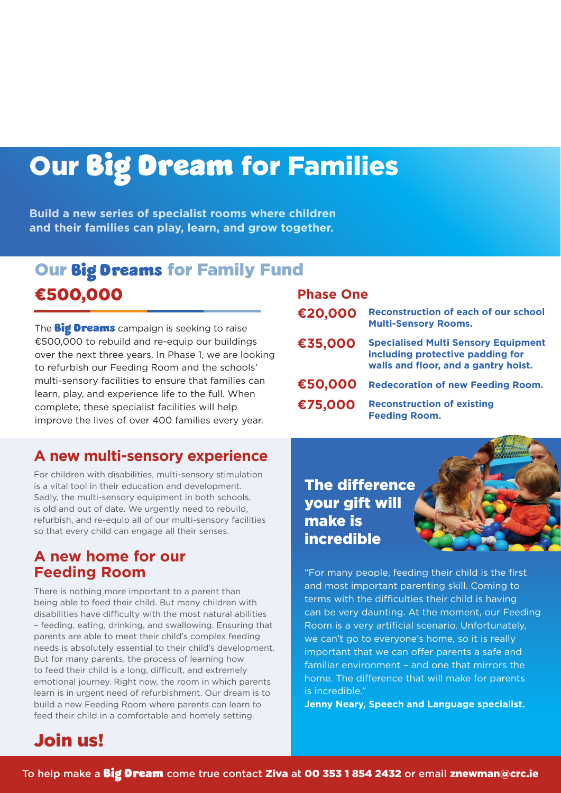# Our Big Dream for Families

**Build a new series of specialist rooms where children and their families can play, learn, and grow together.**

## Our Big Dreams for Family Fund ¤500,000

The **Big Dreams** campaign is seeking to raise €500,000 to rebuild and re-equip our buildings over the next three years. In Phase 1, we are looking to refurbish our Feeding Room and the schools' multi-sensory facilities to ensure that families can learn, play, and experience life to the full. When complete, these specialist facilities will help improve the lives of over 400 families every year.

### **A new multi-sensory experience**

For children with disabilities, multi-sensory stimulation is a vital tool in their education and development. Sadly, the multi-sensory equipment in both schools, is old and out of date. We urgently need to rebuild, refurbish, and re-equip all of our multi-sensory facilities so that every child can engage all their senses.

#### **A new home for our Feeding Room**

There is nothing more important to a parent than being able to feed their child. But many children with disabilities have difficulty with the most natural abilities – feeding, eating, drinking, and swallowing. Ensuring that parents are able to meet their child's complex feeding needs is absolutely essential to their child's development. But for many parents, the process of learning how to feed their child is a long, difficult, and extremely emotional journey. Right now, the room in which parents learn is in urgent need of refurbishment. Our dream is to build a new Feeding Room where parents can learn to feed their child in a comfortable and homely setting.

#### **Phase One**

| €20,000 | <b>Reconstruction of each of our school</b><br><b>Multi-Sensory Rooms.</b>                                             |
|---------|------------------------------------------------------------------------------------------------------------------------|
| €35,000 | <b>Specialised Multi Sensory Equipment</b><br>including protective padding for<br>walls and floor, and a gantry hoist. |
| €50,000 | <b>Redecoration of new Feeding Room.</b>                                                                               |
| €75,000 | <b>Reconstruction of existing</b><br><b>Feeding Room.</b>                                                              |

The difference your gift will make is **incredible** 

"For many people, feeding their child is the first and most important parenting skill. Coming to terms with the difficulties their child is having can be very daunting. At the moment, our Feeding Room is a very artificial scenario. Unfortunately, we can't go to everyone's home, so it is really important that we can offer parents a safe and familiar environment – and one that mirrors the home. The difference that will make for parents is incredible."

**Jenny Neary, Speech and Language specialist.**

## Join us!